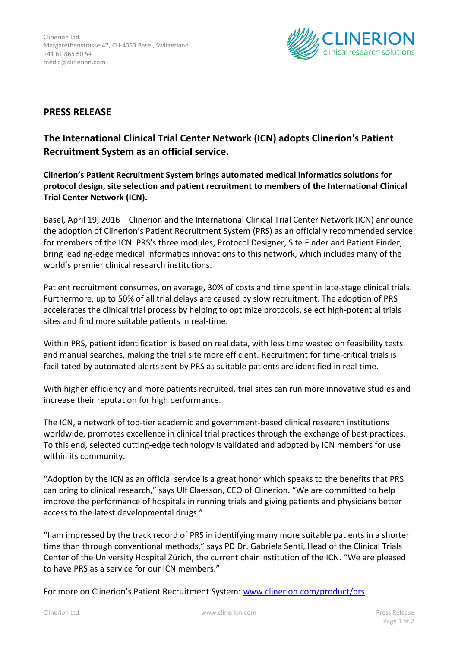

## **PRESS RELEASE**

## **The International Clinical Trial Center Network (ICN) adopts Clinerion's Patient Recruitment System as an official service.**

**Clinerion's Patient Recruitment System brings automated medical informatics solutions for protocol design, site selection and patient recruitment to members of the International Clinical Trial Center Network (ICN).**

Basel, April 19, 2016 – Clinerion and the International Clinical Trial Center Network (ICN) announce the adoption of Clinerion's Patient Recruitment System (PRS) as an officially recommended service for members of the ICN. PRS's three modules, Protocol Designer, Site Finder and Patient Finder, bring leading-edge medical informatics innovations to this network, which includes many of the world's premier clinical research institutions.

Patient recruitment consumes, on average, 30% of costs and time spent in late-stage clinical trials. Furthermore, up to 50% of all trial delays are caused by slow recruitment. The adoption of PRS accelerates the clinical trial process by helping to optimize protocols, select high-potential trials sites and find more suitable patients in real-time.

Within PRS, patient identification is based on real data, with less time wasted on feasibility tests and manual searches, making the trial site more efficient. Recruitment for time-critical trials is facilitated by automated alerts sent by PRS as suitable patients are identified in real time.

With higher efficiency and more patients recruited, trial sites can run more innovative studies and increase their reputation for high performance.

The ICN, a network of top-tier academic and government-based clinical research institutions worldwide, promotes excellence in clinical trial practices through the exchange of best practices. To this end, selected cutting-edge technology is validated and adopted by ICN members for use within its community.

"Adoption by the ICN as an official service is a great honor which speaks to the benefits that PRS can bring to clinical research," says Ulf Claesson, CEO of Clinerion. "We are committed to help improve the performance of hospitals in running trials and giving patients and physicians better access to the latest developmental drugs."

"I am impressed by the track record of PRS in identifying many more suitable patients in a shorter time than through conventional methods," says PD Dr. Gabriela Senti, Head of the Clinical Trials Center of the University Hospital Zürich, the current chair institution of the ICN. "We are pleased to have PRS as a service for our ICN members."

For more on Clinerion's Patient Recruitment System: [www.clinerion.com/product/prs](http://www.clinerion.com/product/prs)